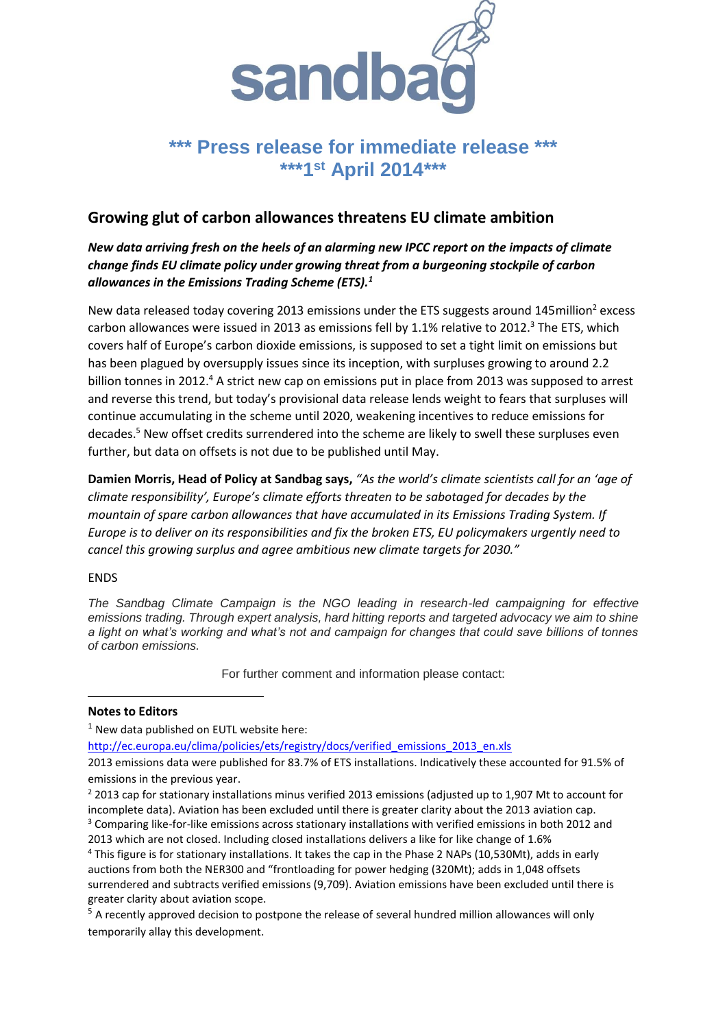

## \*\*\* Press release for immediate release **\*\*\*1st April 2014\*\*\***

## **Growing glut of carbon allowances threatens EU climate ambition**

*New data arriving fresh on the heels of an alarming new IPCC report on the impacts of climate change finds EU climate policy under growing threat from a burgeoning stockpile of carbon allowances in the Emissions Trading Scheme (ETS).<sup>1</sup>*

New data released today covering 2013 emissions under the ETS suggests around 145million<sup>2</sup> excess carbon allowances were issued in 2013 as emissions fell by 1.1% relative to 2012.<sup>3</sup> The ETS, which covers half of Europe's carbon dioxide emissions, is supposed to set a tight limit on emissions but has been plagued by oversupply issues since its inception, with surpluses growing to around 2.2 billion tonnes in 2012.<sup>4</sup> A strict new cap on emissions put in place from 2013 was supposed to arrest and reverse this trend, but today's provisional data release lends weight to fears that surpluses will continue accumulating in the scheme until 2020, weakening incentives to reduce emissions for decades.<sup>5</sup> New offset credits surrendered into the scheme are likely to swell these surpluses even further, but data on offsets is not due to be published until May.

**Damien Morris, Head of Policy at Sandbag says,** *"As the world's climate scientists call for an 'age of climate responsibility', Europe's climate efforts threaten to be sabotaged for decades by the mountain of spare carbon allowances that have accumulated in its Emissions Trading System. If Europe is to deliver on its responsibilities and fix the broken ETS, EU policymakers urgently need to cancel this growing surplus and agree ambitious new climate targets for 2030."*

## ENDS

1

*The Sandbag Climate Campaign is the NGO leading in research-led campaigning for effective emissions trading. Through expert analysis, hard hitting reports and targeted advocacy we aim to shine a light on what's working and what's not and campaign for changes that could save billions of tonnes of carbon emissions.*

For further comment and information please contact:

## **Notes to Editors**

 $1$  New data published on EUTL website here:

[http://ec.europa.eu/clima/policies/ets/registry/docs/verified\\_emissions\\_2013\\_en.xls](http://ec.europa.eu/clima/policies/ets/registry/docs/verified_emissions_2013_en.xls)

<sup>2</sup> 2013 cap for stationary installations minus verified 2013 emissions (adjusted up to 1,907 Mt to account for incomplete data). Aviation has been excluded until there is greater clarity about the 2013 aviation cap.

<sup>3</sup> Comparing like-for-like emissions across stationary installations with verified emissions in both 2012 and 2013 which are not closed. Including closed installations delivers a like for like change of 1.6%

<sup>2013</sup> emissions data were published for 83.7% of ETS installations. Indicatively these accounted for 91.5% of emissions in the previous year.

<sup>&</sup>lt;sup>4</sup> This figure is for stationary installations. It takes the cap in the Phase 2 NAPs (10,530Mt), adds in early auctions from both the NER300 and "frontloading for power hedging (320Mt); adds in 1,048 offsets surrendered and subtracts verified emissions (9,709). Aviation emissions have been excluded until there is greater clarity about aviation scope.

<sup>&</sup>lt;sup>5</sup> A recently approved decision to postpone the release of several hundred million allowances will only temporarily allay this development.